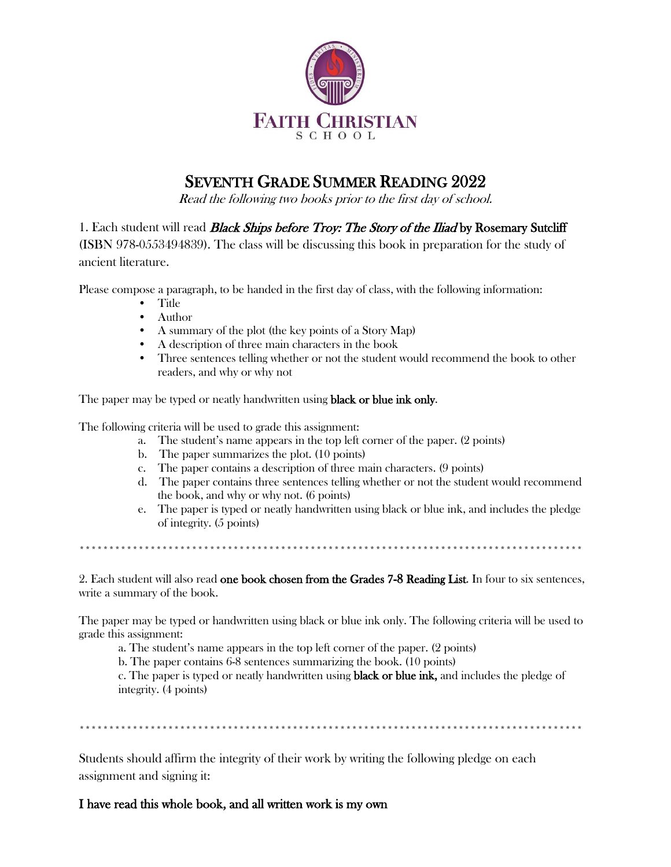

## SEVENTH GRADE SUMMER READING 2022

Read the following two books prior to the first day of school.

1. Each student will read *Black Ships before Troy: The Story of the Iliad* by Rosemary Sutcliff (ISBN 978-0553494839). The class will be discussing this book in preparation for the study of ancient literature.

Please compose a paragraph, to be handed in the first day of class, with the following information:

- Title
- Author
- A summary of the plot (the key points of a Story Map)
- A description of three main characters in the book
- Three sentences telling whether or not the student would recommend the book to other readers, and why or why not

The paper may be typed or neatly handwritten using **black or blue ink only.** 

The following criteria will be used to grade this assignment:

- a. The student's name appears in the top left corner of the paper. (2 points)
- b. The paper summarizes the plot. (10 points)
- c. The paper contains a description of three main characters. (9 points)
- d. The paper contains three sentences telling whether or not the student would recommend the book, and why or why not. (6 points)
- e. The paper is typed or neatly handwritten using black or blue ink, and includes the pledge of integrity. (5 points)

\*\*\*\*\*\*\*\*\*\*\*\*\*\*\*\*\*\*\*\*\*\*\*\*\*\*\*\*\*\*\*\*\*\*\*\*\*\*\*\*\*\*\*\*\*\*\*\*\*\*\*\*\*\*\*\*\*\*\*\*\*\*\*\*\*\*\*\*\*\*\*\*\*\*\*\*\*\*\*\*\*\*\*\*\*

2. Each student will also read one book chosen from the Grades 7-8 Reading List. In four to six sentences, write a summary of the book.

The paper may be typed or handwritten using black or blue ink only. The following criteria will be used to grade this assignment:

a. The student's name appears in the top left corner of the paper. (2 points)

b. The paper contains 6-8 sentences summarizing the book. (10 points)

c. The paper is typed or neatly handwritten using black or blue ink, and includes the pledge of integrity. (4 points)

\*\*\*\*\*\*\*\*\*\*\*\*\*\*\*\*\*\*\*\*\*\*\*\*\*\*\*\*\*\*\*\*\*\*\*\*\*\*\*\*\*\*\*\*\*\*\*\*\*\*\*\*\*\*\*\*\*\*\*\*\*\*\*\*\*\*\*\*\*\*\*\*\*\*\*\*\*\*\*\*\*\*\*\*\*

Students should affirm the integrity of their work by writing the following pledge on each assignment and signing it:

#### I have read this whole book, and all written work is my own